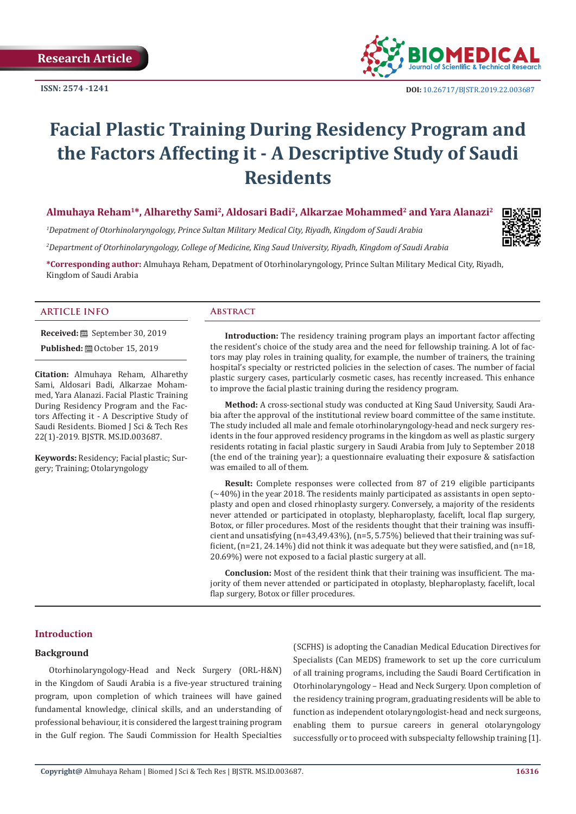**ISSN: 2574 -1241**



# **Facial Plastic Training During Residency Program and the Factors Affecting it - A Descriptive Study of Saudi Residents**

## **Almuhaya Reham1\*, Alharethy Sami2, Aldosari Badi2, Alkarzae Mohammed2 and Yara Alanazi2**

*1 Depatment of Otorhinolaryngology, Prince Sultan Military Medical City, Riyadh, Kingdom of Saudi Arabia*

*2 Department of Otorhinolaryngology, College of Medicine, King Saud University, Riyadh, Kingdom of Saudi Arabia*

**\*Corresponding author:** Almuhaya Reham, Depatment of Otorhinolaryngology, Prince Sultan Military Medical City, Riyadh, Kingdom of Saudi Arabia

#### **ARTICLE INFO Abstract**

**Received:** September 30, 2019

**Published: @** October 15, 2019

**Citation:** Almuhaya Reham, Alharethy Sami, Aldosari Badi, Alkarzae Mohammed, Yara Alanazi. Facial Plastic Training During Residency Program and the Factors Affecting it - A Descriptive Study of Saudi Residents. Biomed J Sci & Tech Res 22(1)-2019. BJSTR. MS.ID.003687.

**Keywords:** Residency; Facial plastic; Surgery; Training; Otolaryngology

**Introduction:** The residency training program plays an important factor affecting the resident's choice of the study area and the need for fellowship training. A lot of factors may play roles in training quality, for example, the number of trainers, the training hospital's specialty or restricted policies in the selection of cases. The number of facial plastic surgery cases, particularly cosmetic cases, has recently increased. This enhance to improve the facial plastic training during the residency program.

**Method:** A cross-sectional study was conducted at King Saud University, Saudi Arabia after the approval of the institutional review board committee of the same institute. The study included all male and female otorhinolaryngology-head and neck surgery residents in the four approved residency programs in the kingdom as well as plastic surgery residents rotating in facial plastic surgery in Saudi Arabia from July to September 2018 (the end of the training year); a questionnaire evaluating their exposure & satisfaction was emailed to all of them.

**Result:** Complete responses were collected from 87 of 219 eligible participants  $(\sim 40\%)$  in the year 2018. The residents mainly participated as assistants in open septoplasty and open and closed rhinoplasty surgery. Conversely, a majority of the residents never attended or participated in otoplasty, blepharoplasty, facelift, local flap surgery, Botox, or filler procedures. Most of the residents thought that their training was insufficient and unsatisfying (n=43,49.43%), (n=5, 5.75%) believed that their training was sufficient,  $(n=21, 24.14\%)$  did not think it was adequate but they were satisfied, and  $(n=18, 16.1)$ 20.69%) were not exposed to a facial plastic surgery at all.

**Conclusion:** Most of the resident think that their training was insufficient. The majority of them never attended or participated in otoplasty, blepharoplasty, facelift, local flap surgery, Botox or filler procedures.

### **Introduction**

#### **Background**

Otorhinolaryngology-Head and Neck Surgery (ORL-H&N) in the Kingdom of Saudi Arabia is a five-year structured training program, upon completion of which trainees will have gained fundamental knowledge, clinical skills, and an understanding of professional behaviour, it is considered the largest training program in the Gulf region. The Saudi Commission for Health Specialties

(SCFHS) is adopting the Canadian Medical Education Directives for Specialists (Can MEDS) framework to set up the core curriculum of all training programs, including the Saudi Board Certification in Otorhinolaryngology – Head and Neck Surgery. Upon completion of the residency training program, graduating residents will be able to function as independent otolaryngologist-head and neck surgeons, enabling them to pursue careers in general otolaryngology successfully or to proceed with subspecialty fellowship training [1].



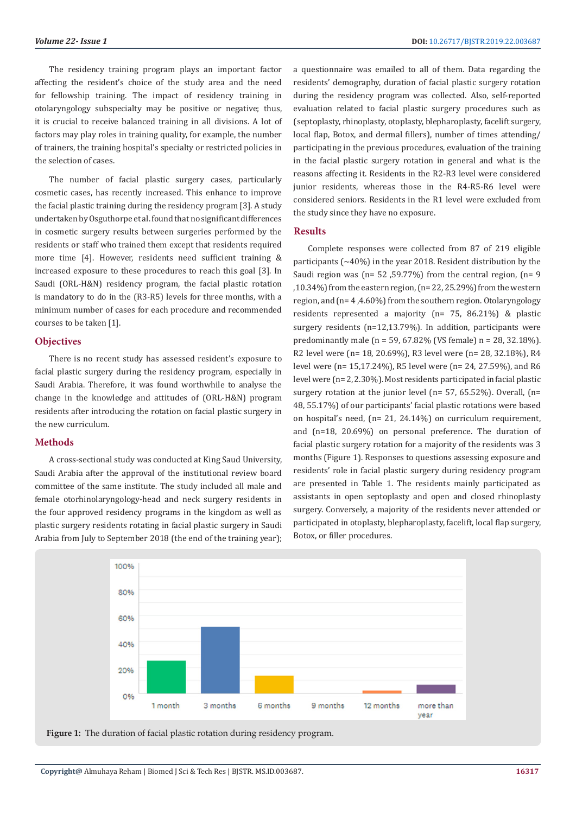The residency training program plays an important factor affecting the resident's choice of the study area and the need for fellowship training. The impact of residency training in otolaryngology subspecialty may be positive or negative; thus, it is crucial to receive balanced training in all divisions. A lot of factors may play roles in training quality, for example, the number of trainers, the training hospital's specialty or restricted policies in the selection of cases.

The number of facial plastic surgery cases, particularly cosmetic cases, has recently increased. This enhance to improve the facial plastic training during the residency program [3]. A study undertaken by Osguthorpe et al. found that no significant differences in cosmetic surgery results between surgeries performed by the residents or staff who trained them except that residents required more time [4]. However, residents need sufficient training & increased exposure to these procedures to reach this goal [3]. In Saudi (ORL-H&N) residency program, the facial plastic rotation is mandatory to do in the (R3-R5) levels for three months, with a minimum number of cases for each procedure and recommended courses to be taken [1].

#### **Objectives**

There is no recent study has assessed resident's exposure to facial plastic surgery during the residency program, especially in Saudi Arabia. Therefore, it was found worthwhile to analyse the change in the knowledge and attitudes of (ORL-H&N) program residents after introducing the rotation on facial plastic surgery in the new curriculum.

#### **Methods**

A cross-sectional study was conducted at King Saud University, Saudi Arabia after the approval of the institutional review board committee of the same institute. The study included all male and female otorhinolaryngology-head and neck surgery residents in the four approved residency programs in the kingdom as well as plastic surgery residents rotating in facial plastic surgery in Saudi Arabia from July to September 2018 (the end of the training year);

a questionnaire was emailed to all of them. Data regarding the residents' demography, duration of facial plastic surgery rotation during the residency program was collected. Also, self-reported evaluation related to facial plastic surgery procedures such as (septoplasty, rhinoplasty, otoplasty, blepharoplasty, facelift surgery, local flap, Botox, and dermal fillers), number of times attending/ participating in the previous procedures, evaluation of the training in the facial plastic surgery rotation in general and what is the reasons affecting it. Residents in the R2-R3 level were considered junior residents, whereas those in the R4-R5-R6 level were considered seniors. Residents in the R1 level were excluded from the study since they have no exposure.

#### **Results**

Complete responses were collected from 87 of 219 eligible participants  $(-40%)$  in the year 2018. Resident distribution by the Saudi region was ( $n= 52$ , 59.77%) from the central region, ( $n= 9$ ,10.34%) from the eastern region, (n= 22, 25.29%) from the western region, and (n= 4 ,4.60%) from the southern region. Otolaryngology residents represented a majority (n= 75, 86.21%) & plastic surgery residents (n=12,13.79%). In addition, participants were predominantly male (n = 59, 67.82% (VS female) n = 28, 32.18%). R2 level were (n= 18, 20.69%), R3 level were (n= 28, 32.18%), R4 level were (n= 15,17.24%), R5 level were (n= 24, 27.59%), and R6 level were (n= 2, 2.30%). Most residents participated in facial plastic surgery rotation at the junior level (n= 57, 65.52%). Overall, (n= 48, 55.17%) of our participants' facial plastic rotations were based on hospital's need, (n= 21, 24.14%) on curriculum requirement, and (n=18, 20.69%) on personal preference. The duration of facial plastic surgery rotation for a majority of the residents was 3 months (Figure 1). Responses to questions assessing exposure and residents' role in facial plastic surgery during residency program are presented in Table 1. The residents mainly participated as assistants in open septoplasty and open and closed rhinoplasty surgery. Conversely, a majority of the residents never attended or participated in otoplasty, blepharoplasty, facelift, local flap surgery, Botox, or filler procedures.



**Figure 1:** The duration of facial plastic rotation during residency program.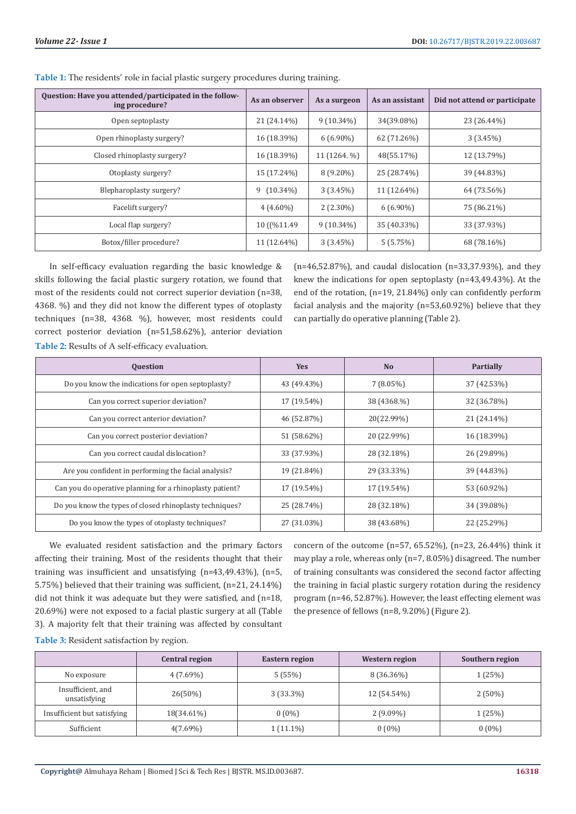| Question: Have you attended/participated in the follow-<br>ing procedure? | As an observer | As a surgeon | As an assistant | Did not attend or participate |
|---------------------------------------------------------------------------|----------------|--------------|-----------------|-------------------------------|
| Open septoplasty                                                          | 21 (24.14%)    | $9(10.34\%)$ | 34(39.08%)      | 23 (26.44%)                   |
| Open rhinoplasty surgery?                                                 | 16 (18.39%)    | $6(6.90\%)$  | 62 (71.26%)     | 3(3.45%)                      |
| Closed rhinoplasty surgery?                                               | 16 (18.39%)    | 11 (1264. %) | 48(55.17%)      | 12 (13.79%)                   |
| Otoplasty surgery?                                                        | 15 (17.24%)    | $8(9.20\%)$  | 25 (28.74%)     | 39 (44.83%)                   |
| Blepharoplasty surgery?                                                   | $9(10.34\%)$   | $3(3.45\%)$  | 11 (12.64%)     | 64 (73.56%)                   |
| Facelift surgery?                                                         | $4(4.60\%)$    | $2(2.30\%)$  | $6(6.90\%)$     | 75 (86.21%)                   |
| Local flap surgery?                                                       | 10 ((%11.49)   | $9(10.34\%)$ | 35 (40.33%)     | 33 (37.93%)                   |
| Botox/filler procedure?                                                   | 11 (12.64%)    | $3(3.45\%)$  | 5(5.75%)        | 68 (78.16%)                   |

**Table 1:** The residents' role in facial plastic surgery procedures during training.

In self-efficacy evaluation regarding the basic knowledge & skills following the facial plastic surgery rotation, we found that most of the residents could not correct superior deviation (n=38, 4368. %) and they did not know the different types of otoplasty techniques (n=38, 4368. %), however, most residents could correct posterior deviation (n=51,58.62%), anterior deviation **Table 2:** Results of A self-efficacy evaluation.

(n=46,52.87%), and caudal dislocation (n=33,37.93%), and they knew the indications for open septoplasty (n=43,49.43%). At the end of the rotation, (n=19, 21.84%) only can confidently perform facial analysis and the majority (n=53,60.92%) believe that they can partially do operative planning (Table 2).

| <b>Question</b>                                          | <b>Yes</b>  | <b>No</b>   | <b>Partially</b> |
|----------------------------------------------------------|-------------|-------------|------------------|
| Do you know the indications for open septoplasty?        | 43 (49.43%) | $7(8.05\%)$ | 37 (42.53%)      |
| Can you correct superior deviation?                      | 17 (19.54%) | 38 (4368.%) | 32 (36.78%)      |
| Can you correct anterior deviation?                      | 46 (52.87%) | 20(22.99%)  | 21 (24.14%)      |
| Can you correct posterior deviation?                     | 51 (58.62%) | 20 (22.99%) | 16 (18.39%)      |
| Can you correct caudal dislocation?                      | 33 (37.93%) | 28 (32.18%) | 26 (29.89%)      |
| Are you confident in performing the facial analysis?     | 19 (21.84%) | 29 (33.33%) | 39 (44.83%)      |
| Can you do operative planning for a rhinoplasty patient? | 17 (19.54%) | 17 (19.54%) | 53 (60.92%)      |
| Do you know the types of closed rhinoplasty techniques?  | 25 (28.74%) | 28 (32.18%) | 34 (39.08%)      |
| Do you know the types of otoplasty techniques?           | 27 (31.03%) | 38 (43.68%) | 22 (25.29%)      |

We evaluated resident satisfaction and the primary factors affecting their training. Most of the residents thought that their training was insufficient and unsatisfying (n=43,49.43%), (n=5, 5.75%) believed that their training was sufficient, (n=21, 24.14%) did not think it was adequate but they were satisfied, and (n=18, 20.69%) were not exposed to a facial plastic surgery at all (Table 3). A majority felt that their training was affected by consultant

concern of the outcome (n=57, 65.52%), (n=23, 26.44%) think it may play a role, whereas only (n=7, 8.05%) disagreed. The number of training consultants was considered the second factor affecting the training in facial plastic surgery rotation during the residency program (n=46, 52.87%). However, the least effecting element was the presence of fellows (n=8, 9.20%) (Figure 2).

**Table 3:** Resident satisfaction by region.

|                                   | <b>Central region</b> | Eastern region | Western region | Southern region |
|-----------------------------------|-----------------------|----------------|----------------|-----------------|
| No exposure                       | $4(7.69\%)$           | 5(55%)         | 8 (36.36%)     | 1(25%)          |
| Insufficient, and<br>unsatisfying | $26(50\%)$            | $3(33.3\%)$    | 12 (54.54%)    | $2(50\%)$       |
| Insufficient but satisfying       | 18(34.61%)            | $0(0\%)$       | $2(9.09\%)$    | 1 (25%)         |
| Sufficient                        | $4(7.69\%)$           | $1(11.1\%)$    | $0(0\%)$       | $0(0\%)$        |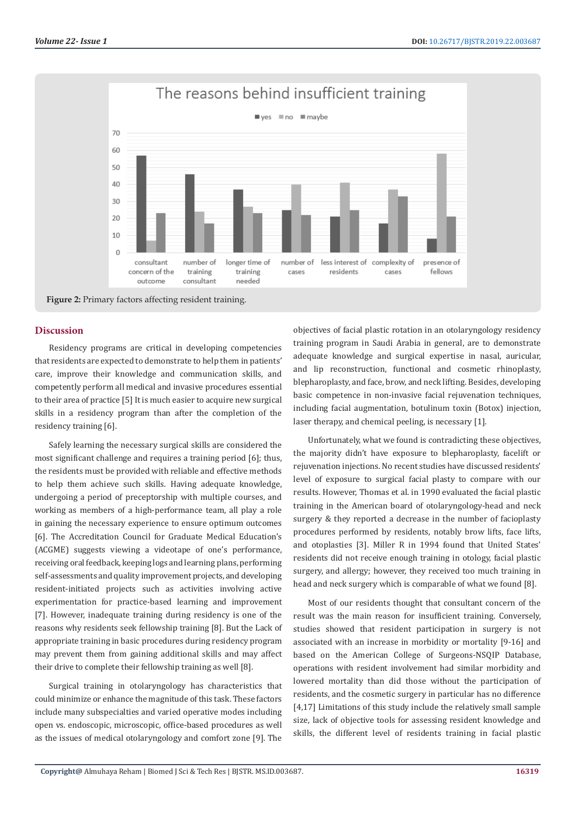



#### **Discussion**

Residency programs are critical in developing competencies that residents are expected to demonstrate to help them in patients' care, improve their knowledge and communication skills, and competently perform all medical and invasive procedures essential to their area of practice [5] It is much easier to acquire new surgical skills in a residency program than after the completion of the residency training [6].

Safely learning the necessary surgical skills are considered the most significant challenge and requires a training period [6]; thus, the residents must be provided with reliable and effective methods to help them achieve such skills. Having adequate knowledge, undergoing a period of preceptorship with multiple courses, and working as members of a high-performance team, all play a role in gaining the necessary experience to ensure optimum outcomes [6]. The Accreditation Council for Graduate Medical Education's (ACGME) suggests viewing a videotape of one's performance, receiving oral feedback, keeping logs and learning plans, performing self-assessments and quality improvement projects, and developing resident-initiated projects such as activities involving active experimentation for practice-based learning and improvement [7]. However, inadequate training during residency is one of the reasons why residents seek fellowship training [8]. But the Lack of appropriate training in basic procedures during residency program may prevent them from gaining additional skills and may affect their drive to complete their fellowship training as well [8].

Surgical training in otolaryngology has characteristics that could minimize or enhance the magnitude of this task. These factors include many subspecialties and varied operative modes including open vs. endoscopic, microscopic, office-based procedures as well as the issues of medical otolaryngology and comfort zone [9]. The

objectives of facial plastic rotation in an otolaryngology residency training program in Saudi Arabia in general, are to demonstrate adequate knowledge and surgical expertise in nasal, auricular, and lip reconstruction, functional and cosmetic rhinoplasty, blepharoplasty, and face, brow, and neck lifting. Besides, developing basic competence in non-invasive facial rejuvenation techniques, including facial augmentation, botulinum toxin (Botox) injection, laser therapy, and chemical peeling, is necessary [1].

Unfortunately, what we found is contradicting these objectives, the majority didn't have exposure to blepharoplasty, facelift or rejuvenation injections. No recent studies have discussed residents' level of exposure to surgical facial plasty to compare with our results. However, Thomas et al. in 1990 evaluated the facial plastic training in the American board of otolaryngology-head and neck surgery & they reported a decrease in the number of facioplasty procedures performed by residents, notably brow lifts, face lifts, and otoplasties [3]. Miller R in 1994 found that United States' residents did not receive enough training in otology, facial plastic surgery, and allergy; however, they received too much training in head and neck surgery which is comparable of what we found [8].

Most of our residents thought that consultant concern of the result was the main reason for insufficient training. Conversely, studies showed that resident participation in surgery is not associated with an increase in morbidity or mortality [9-16] and based on the American College of Surgeons-NSQIP Database, operations with resident involvement had similar morbidity and lowered mortality than did those without the participation of residents, and the cosmetic surgery in particular has no difference [4,17] Limitations of this study include the relatively small sample size, lack of objective tools for assessing resident knowledge and skills, the different level of residents training in facial plastic